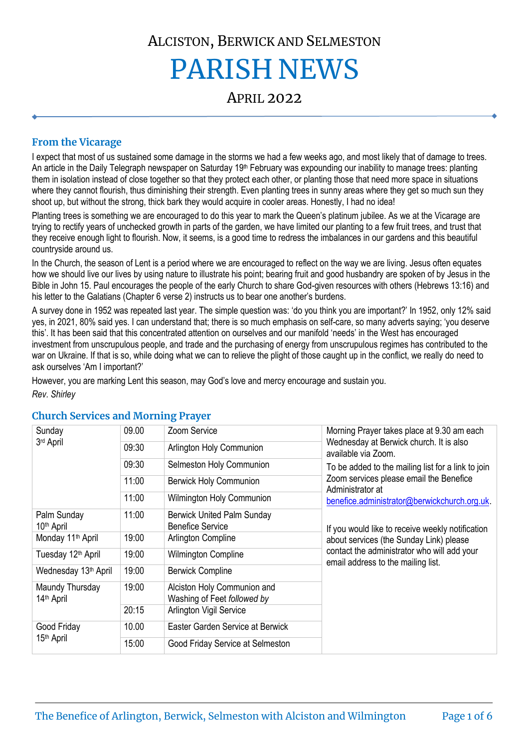# ALCISTON, BERWICK AND SELMESTON PARISH NEWS

APRIL 2022

# **From the Vicarage**

I expect that most of us sustained some damage in the storms we had a few weeks ago, and most likely that of damage to trees. An article in the Daily Telegraph newspaper on Saturday 19<sup>th</sup> February was expounding our inability to manage trees: planting them in isolation instead of close together so that they protect each other, or planting those that need more space in situations where they cannot flourish, thus diminishing their strength. Even planting trees in sunny areas where they get so much sun they shoot up, but without the strong, thick bark they would acquire in cooler areas. Honestly, I had no idea!

Planting trees is something we are encouraged to do this year to mark the Queen's platinum jubilee. As we at the Vicarage are trying to rectify years of unchecked growth in parts of the garden, we have limited our planting to a few fruit trees, and trust that they receive enough light to flourish. Now, it seems, is a good time to redress the imbalances in our gardens and this beautiful countryside around us.

In the Church, the season of Lent is a period where we are encouraged to reflect on the way we are living. Jesus often equates how we should live our lives by using nature to illustrate his point; bearing fruit and good husbandry are spoken of by Jesus in the Bible in John 15. Paul encourages the people of the early Church to share God-given resources with others (Hebrews 13:16) and his letter to the Galatians (Chapter 6 verse 2) instructs us to bear one another's burdens.

A survey done in 1952 was repeated last year. The simple question was: 'do you think you are important?' In 1952, only 12% said yes, in 2021, 80% said yes. I can understand that; there is so much emphasis on self-care, so many adverts saying; 'you deserve this'. It has been said that this concentrated attention on ourselves and our manifold 'needs' in the West has encouraged investment from unscrupulous people, and trade and the purchasing of energy from unscrupulous regimes has contributed to the war on Ukraine. If that is so, while doing what we can to relieve the plight of those caught up in the conflict, we really do need to ask ourselves 'Am I important?'

However, you are marking Lent this season, may God's love and mercy encourage and sustain you.

*Rev. Shirley*

| Sunday<br>3rd April                       | 09.00 | Zoom Service                                                 | Morning Prayer takes place at 9.30 am each<br>Wednesday at Berwick church. It is also<br>available via Zoom.<br>To be added to the mailing list for a link to join<br>Zoom services please email the Benefice<br>Administrator at<br>benefice.administrator@berwickchurch.org.uk. |  |
|-------------------------------------------|-------|--------------------------------------------------------------|-----------------------------------------------------------------------------------------------------------------------------------------------------------------------------------------------------------------------------------------------------------------------------------|--|
|                                           | 09:30 | Arlington Holy Communion                                     |                                                                                                                                                                                                                                                                                   |  |
|                                           | 09:30 | Selmeston Holy Communion                                     |                                                                                                                                                                                                                                                                                   |  |
|                                           | 11:00 | <b>Berwick Holy Communion</b>                                |                                                                                                                                                                                                                                                                                   |  |
|                                           | 11:00 | Wilmington Holy Communion                                    |                                                                                                                                                                                                                                                                                   |  |
| Palm Sunday<br>10 <sup>th</sup> April     | 11:00 | <b>Berwick United Palm Sunday</b><br><b>Benefice Service</b> | If you would like to receive weekly notification                                                                                                                                                                                                                                  |  |
| Monday 11 <sup>th</sup> April             | 19:00 | Arlington Compline                                           | about services (the Sunday Link) please                                                                                                                                                                                                                                           |  |
| Tuesday 12 <sup>th</sup> April            | 19:00 | Wilmington Compline                                          | contact the administrator who will add your<br>email address to the mailing list.                                                                                                                                                                                                 |  |
| Wednesday 13th April                      | 19:00 | <b>Berwick Compline</b>                                      |                                                                                                                                                                                                                                                                                   |  |
| Maundy Thursday<br>14 <sup>th</sup> April | 19:00 | Alciston Holy Communion and<br>Washing of Feet followed by   |                                                                                                                                                                                                                                                                                   |  |
|                                           | 20:15 | Arlington Vigil Service                                      |                                                                                                                                                                                                                                                                                   |  |
| Good Friday                               | 10.00 | Easter Garden Service at Berwick                             |                                                                                                                                                                                                                                                                                   |  |
| 15 <sup>th</sup> April                    | 15:00 | Good Friday Service at Selmeston                             |                                                                                                                                                                                                                                                                                   |  |

# **Church Services and Morning Prayer**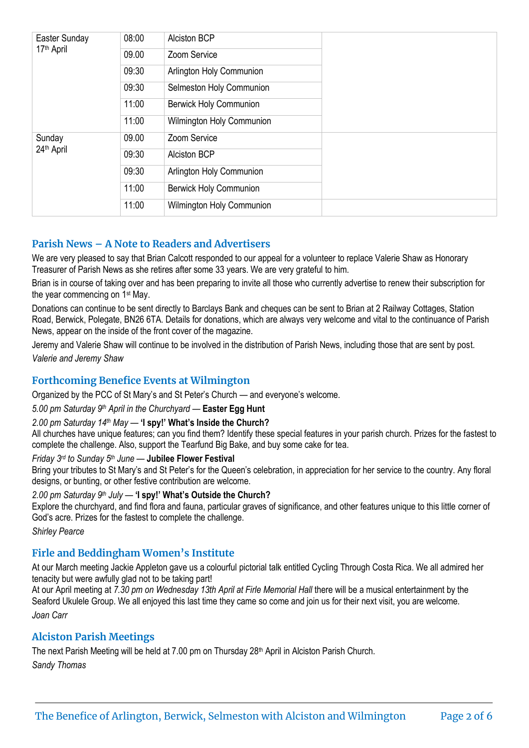| Easter Sunday<br>17 <sup>th</sup> April | 08:00 | <b>Alciston BCP</b>           |  |
|-----------------------------------------|-------|-------------------------------|--|
|                                         | 09.00 | Zoom Service                  |  |
|                                         | 09:30 | Arlington Holy Communion      |  |
|                                         | 09:30 | Selmeston Holy Communion      |  |
|                                         | 11:00 | <b>Berwick Holy Communion</b> |  |
|                                         | 11:00 | Wilmington Holy Communion     |  |
| Sunday<br>24th April                    | 09.00 | Zoom Service                  |  |
|                                         | 09:30 | <b>Alciston BCP</b>           |  |
|                                         | 09:30 | Arlington Holy Communion      |  |
|                                         | 11:00 | <b>Berwick Holy Communion</b> |  |
|                                         | 11:00 | Wilmington Holy Communion     |  |

# **Parish News – A Note to Readers and Advertisers**

We are very pleased to say that Brian Calcott responded to our appeal for a volunteer to replace Valerie Shaw as Honorary Treasurer of Parish News as she retires after some 33 years. We are very grateful to him.

Brian is in course of taking over and has been preparing to invite all those who currently advertise to renew their subscription for the year commencing on 1st May.

Donations can continue to be sent directly to Barclays Bank and cheques can be sent to Brian at 2 Railway Cottages, Station Road, Berwick, Polegate, BN26 6TA. Details for donations, which are always very welcome and vital to the continuance of Parish News, appear on the inside of the front cover of the magazine.

Jeremy and Valerie Shaw will continue to be involved in the distribution of Parish News, including those that are sent by post. *Valerie and Jeremy Shaw*

# **Forthcoming Benefice Events at Wilmington**

Organized by the PCC of St Mary's and St Peter's Church — and everyone's welcome.

#### *5.00 pm Saturday 9th April in the Churchyard* — **Easter Egg Hunt**

#### *2.00 pm Saturday 14th May* — **'I spy!' What's Inside the Church?**

All churches have unique features; can you find them? Identify these special features in your parish church. Prizes for the fastest to complete the challenge. Also, support the Tearfund Big Bake, and buy some cake for tea.

#### *Friday 3rd to Sunday 5th June* — **Jubilee Flower Festival**

Bring your tributes to St Mary's and St Peter's for the Queen's celebration, in appreciation for her service to the country. Any floral designs, or bunting, or other festive contribution are welcome.

#### *2.00 pm Saturday 9th July* — **'I spy!' What's Outside the Church?**

Explore the churchyard, and find flora and fauna, particular graves of significance, and other features unique to this little corner of God's acre. Prizes for the fastest to complete the challenge.

*Shirley Pearce*

#### **Firle and Beddingham Women's Institute**

At our March meeting Jackie Appleton gave us a colourful pictorial talk entitled Cycling Through Costa Rica. We all admired her tenacity but were awfully glad not to be taking part!

At our April meeting at *7.30 pm on Wednesday 13th April at Firle Memorial Hall* there will be a musical entertainment by the Seaford Ukulele Group. We all enjoyed this last time they came so come and join us for their next visit, you are welcome. *Joan Carr*

#### **Alciston Parish Meetings**

The next Parish Meeting will be held at 7.00 pm on Thursday 28<sup>th</sup> April in Alciston Parish Church. *Sandy Thomas*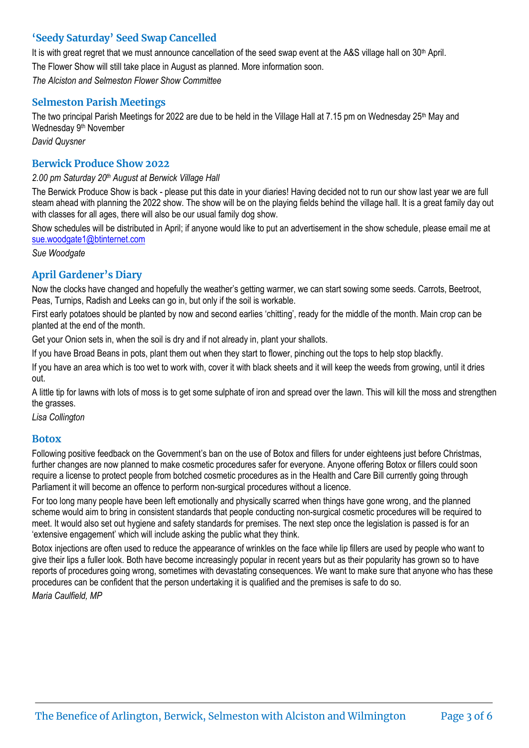# **'Seedy Saturday' Seed Swap Cancelled**

It is with great regret that we must announce cancellation of the seed swap event at the A&S village hall on 30<sup>th</sup> April. The Flower Show will still take place in August as planned. More information soon. *The Alciston and Selmeston Flower Show Committee*

# **Selmeston Parish Meetings**

The two principal Parish Meetings for 2022 are due to be held in the Village Hall at 7.15 pm on Wednesday  $25<sup>th</sup>$  May and Wednesday 9<sup>th</sup> November

*David Quysner*

# **Berwick Produce Show 2022**

#### *2.00 pm Saturday 20th August at Berwick Village Hall*

The Berwick Produce Show is back - please put this date in your diaries! Having decided not to run our show last year we are full steam ahead with planning the 2022 show. The show will be on the playing fields behind the village hall. It is a great family day out with classes for all ages, there will also be our usual family dog show.

Show schedules will be distributed in April; if anyone would like to put an advertisement in the show schedule, please email me at [sue.woodgate1@btinternet.com](mailto:sue.woodgate1@btinternet.com)

*Sue Woodgate* 

# **April Gardener's Diary**

Now the clocks have changed and hopefully the weather's getting warmer, we can start sowing some seeds. Carrots, Beetroot, Peas, Turnips, Radish and Leeks can go in, but only if the soil is workable.

First early potatoes should be planted by now and second earlies 'chitting', ready for the middle of the month. Main crop can be planted at the end of the month.

Get your Onion sets in, when the soil is dry and if not already in, plant your shallots.

If you have Broad Beans in pots, plant them out when they start to flower, pinching out the tops to help stop blackfly.

If you have an area which is too wet to work with, cover it with black sheets and it will keep the weeds from growing, until it dries out.

A little tip for lawns with lots of moss is to get some sulphate of iron and spread over the lawn. This will kill the moss and strengthen the grasses.

*Lisa Collington*

#### **Botox**

Following positive feedback on the Government's ban on the use of Botox and fillers for under eighteens just before Christmas, further changes are now planned to make cosmetic procedures safer for everyone. Anyone offering Botox or fillers could soon require a license to protect people from botched cosmetic procedures as in the Health and Care Bill currently going through Parliament it will become an offence to perform non-surgical procedures without a licence.

For too long many people have been left emotionally and physically scarred when things have gone wrong, and the planned scheme would aim to bring in consistent standards that people conducting non-surgical cosmetic procedures will be required to meet. It would also set out hygiene and safety standards for premises. The next step once the legislation is passed is for an 'extensive engagement' which will include asking the public what they think.

Botox injections are often used to reduce the appearance of wrinkles on the face while lip fillers are used by people who want to give their lips a fuller look. Both have become increasingly popular in recent years but as their popularity has grown so to have reports of procedures going wrong, sometimes with devastating consequences. We want to make sure that anyone who has these procedures can be confident that the person undertaking it is qualified and the premises is safe to do so.

*Maria Caulfield, MP*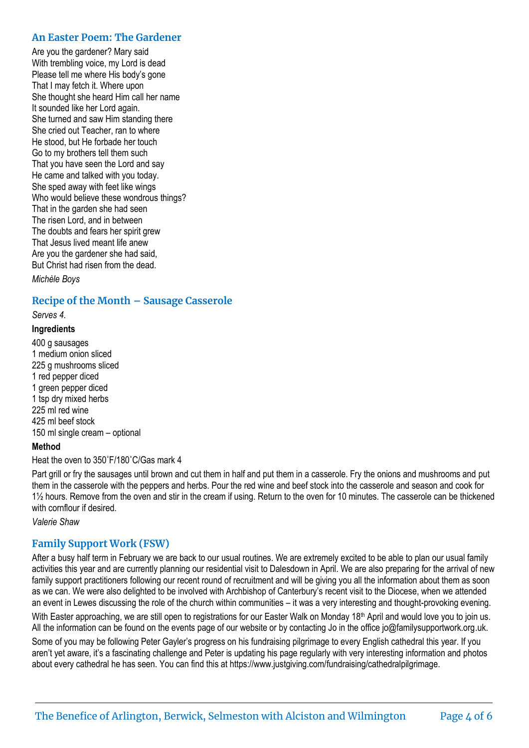#### **An Easter Poem: The Gardener**

Are you the gardener? Mary said With trembling voice, my Lord is dead Please tell me where His body's gone That I may fetch it. Where upon She thought she heard Him call her name It sounded like her Lord again. She turned and saw Him standing there She cried out Teacher, ran to where He stood, but He forbade her touch Go to my brothers tell them such That you have seen the Lord and say He came and talked with you today. She sped away with feet like wings Who would believe these wondrous things? That in the garden she had seen The risen Lord, and in between The doubts and fears her spirit grew That Jesus lived meant life anew Are you the gardener she had said, But Christ had risen from the dead.

*Michèle Boys*

#### **Recipe of the Month – Sausage Casserole**

*Serves 4.*

#### **Ingredients**

400 g sausages 1 medium onion sliced 225 g mushrooms sliced 1 red pepper diced 1 green pepper diced 1 tsp dry mixed herbs 225 ml red wine 425 ml beef stock 150 ml single cream – optional

#### **Method**

Heat the oven to 350˚F/180˚C/Gas mark 4

Part grill or fry the sausages until brown and cut them in half and put them in a casserole. Fry the onions and mushrooms and put them in the casserole with the peppers and herbs. Pour the red wine and beef stock into the casserole and season and cook for 1½ hours. Remove from the oven and stir in the cream if using. Return to the oven for 10 minutes. The casserole can be thickened with cornflour if desired.

*Valerie Shaw*

#### **Family Support Work (FSW)**

After a busy half term in February we are back to our usual routines. We are extremely excited to be able to plan our usual family activities this year and are currently planning our residential visit to Dalesdown in April. We are also preparing for the arrival of new family support practitioners following our recent round of recruitment and will be giving you all the information about them as soon as we can. We were also delighted to be involved with Archbishop of Canterbury's recent visit to the Diocese, when we attended an event in Lewes discussing the role of the church within communities – it was a very interesting and thought-provoking evening.

With Easter approaching, we are still open to registrations for our Easter Walk on Monday 18<sup>th</sup> April and would love you to join us. All the information can be found on the events page of our website or by contacting Jo in the office jo@familysupportwork.org.uk.

Some of you may be following Peter Gayler's progress on his fundraising pilgrimage to every English cathedral this year. If you aren't yet aware, it's a fascinating challenge and Peter is updating his page regularly with very interesting information and photos about every cathedral he has seen. You can find this at https://www.justgiving.com/fundraising/cathedralpilgrimage.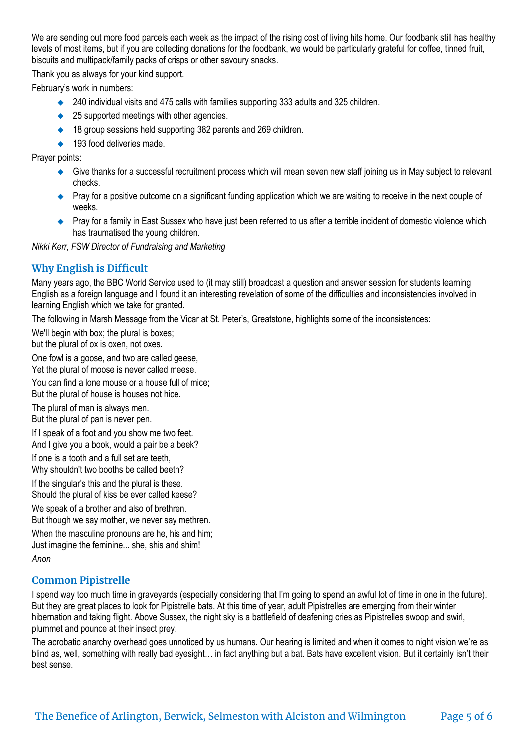We are sending out more food parcels each week as the impact of the rising cost of living hits home. Our foodbank still has healthy levels of most items, but if you are collecting donations for the foodbank, we would be particularly grateful for coffee, tinned fruit, biscuits and multipack/family packs of crisps or other savoury snacks.

Thank you as always for your kind support.

February's work in numbers:

- ◆ 240 individual visits and 475 calls with families supporting 333 adults and 325 children.
- ◆ 25 supported meetings with other agencies.
- ◆ 18 group sessions held supporting 382 parents and 269 children.
- ◆ 193 food deliveries made.

Prayer points:

- ◆ Give thanks for a successful recruitment process which will mean seven new staff joining us in May subject to relevant checks.
- ◆ Pray for a positive outcome on a significant funding application which we are waiting to receive in the next couple of weeks.
- ◆ Pray for a family in East Sussex who have just been referred to us after a terrible incident of domestic violence which has traumatised the young children.

*Nikki Kerr, FSW Director of Fundraising and Marketing*

# **Why English is Difficult**

Many years ago, the BBC World Service used to (it may still) broadcast a question and answer session for students learning English as a foreign language and I found it an interesting revelation of some of the difficulties and inconsistencies involved in learning English which we take for granted.

The following in Marsh Message from the Vicar at St. Peter's, Greatstone, highlights some of the inconsistences:

We'll begin with box; the plural is boxes; but the plural of ox is oxen, not oxes.

One fowl is a goose, and two are called geese, Yet the plural of moose is never called meese.

You can find a lone mouse or a house full of mice; But the plural of house is houses not hice.

The plural of man is always men. But the plural of pan is never pen.

If I speak of a foot and you show me two feet. And I give you a book, would a pair be a beek?

If one is a tooth and a full set are teeth, Why shouldn't two booths be called beeth?

If the singular's this and the plural is these. Should the plural of kiss be ever called keese?

We speak of a brother and also of brethren. But though we say mother, we never say methren.

When the masculine pronouns are he, his and him; Just imagine the feminine... she, shis and shim!

*Anon*

#### **Common Pipistrelle**

I spend way too much time in graveyards (especially considering that I'm going to spend an awful lot of time in one in the future). But they are great places to look for Pipistrelle bats. At this time of year, adult Pipistrelles are emerging from their winter hibernation and taking flight. Above Sussex, the night sky is a battlefield of deafening cries as Pipistrelles swoop and swirl, plummet and pounce at their insect prey.

The acrobatic anarchy overhead goes unnoticed by us humans. Our hearing is limited and when it comes to night vision we're as blind as, well, something with really bad eyesight… in fact anything but a bat. Bats have excellent vision. But it certainly isn't their best sense.